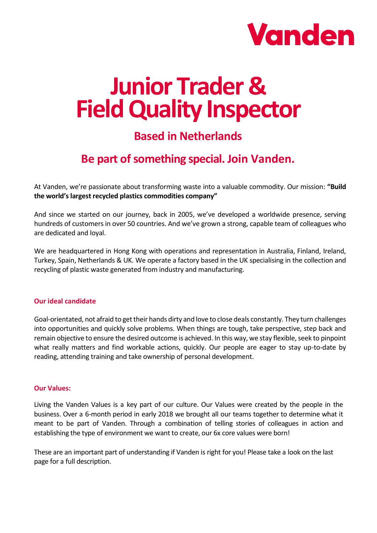

# **Junior Trader & Field Quality Inspector**

## **Based in Netherlands**

# **Be part of something special. Join Vanden.**

At Vanden, we're passionate about transforming waste into a valuable commodity. Our mission: **"Build the world's largest recycled plastics commodities company"**

And since we started on our journey, back in 2005, we've developed a worldwide presence, serving hundreds of customers in over 50 countries. And we've grown a strong, capable team of colleagues who are dedicated and loyal.

We are headquartered in Hong Kong with operations and representation in Australia, Finland, Ireland, Turkey, Spain, Netherlands & UK. We operate a factory based in the UK specialising in the collection and recycling of plastic waste generated from industry and manufacturing.

#### **Our ideal candidate**

Goal-orientated, not afraid to get their hands dirty and love to close deals constantly. They turn challenges into opportunities and quickly solve problems. When things are tough, take perspective, step back and remain objective to ensure the desired outcome is achieved. In this way, we stay flexible, seek to pinpoint what really matters and find workable actions, quickly. Our people are eager to stay up-to-date by reading, attending training and take ownership of personal development.

#### **Our Values:**

Living the Vanden Values is a key part of our culture. Our Values were created by the people in the business. Over a 6-month period in early 2018 we brought all our teams together to determine what it meant to be part of Vanden. Through a combination of telling stories of colleagues in action and establishing the type of environment we want to create, our 6x core values were born!

These are an important part of understanding if Vanden is right for you! Please take a look on the last page for a full description.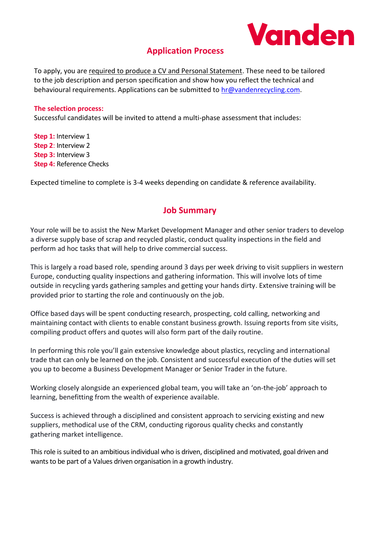

## **Application Process**

To apply, you are required to produce a CV and Personal Statement. These need to be tailored to the job description and person specification and show how you reflect the technical and behavioural requirements. Applications can be submitted to [hr@vandenrecycling.com.](mailto:hr@vandenrecycling.com)

#### **The selection process:**

Successful candidates will be invited to attend a multi-phase assessment that includes:

**Step 1:** Interview 1 **Step 2**: Interview 2 **Step 3:** Interview 3 **Step 4:** Reference Checks

Expected timeline to complete is 3-4 weeks depending on candidate & reference availability.

### **Job Summary**

Your role will be to assist the New Market Development Manager and other senior traders to develop a diverse supply base of scrap and recycled plastic, conduct quality inspections in the field and perform ad hoc tasks that will help to drive commercial success.

This is largely a road based role, spending around 3 days per week driving to visit suppliers in western Europe, conducting quality inspections and gathering information. This will involve lots of time outside in recycling yards gathering samples and getting your hands dirty. Extensive training will be provided prior to starting the role and continuously on the job.

Office based days will be spent conducting research, prospecting, cold calling, networking and maintaining contact with clients to enable constant business growth. Issuing reports from site visits, compiling product offers and quotes will also form part of the daily routine.

In performing this role you'll gain extensive knowledge about plastics, recycling and international trade that can only be learned on the job. Consistent and successful execution of the duties will set you up to become a Business Development Manager or Senior Trader in the future.

Working closely alongside an experienced global team, you will take an 'on-the-job' approach to learning, benefitting from the wealth of experience available.

Success is achieved through a disciplined and consistent approach to servicing existing and new suppliers, methodical use of the CRM, conducting rigorous quality checks and constantly gathering market intelligence.

This role is suited to an ambitious individual who is driven, disciplined and motivated, goal driven and wants to be part of a Values driven organisation in a growth industry.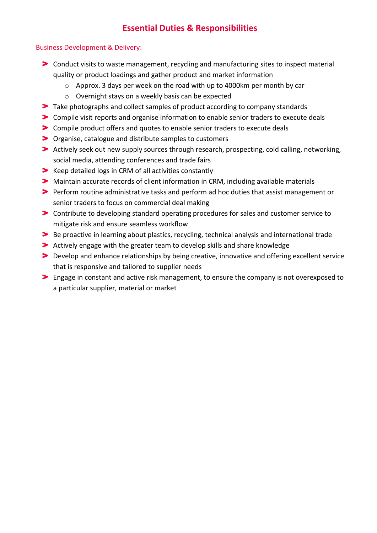## **Essential Duties & Responsibilities**

#### Business Development & Delivery:

- Conduct visits to waste management, recycling and manufacturing sites to inspect material quality or product loadings and gather product and market information
	- o Approx. 3 days per week on the road with up to 4000km per month by car
	- o Overnight stays on a weekly basis can be expected
- Take photographs and collect samples of product according to company standards
- Compile visit reports and organise information to enable senior traders to execute deals
- Compile product offers and quotes to enable senior traders to execute deals
- Organise, catalogue and distribute samples to customers
- Actively seek out new supply sources through research, prospecting, cold calling, networking, social media, attending conferences and trade fairs
- S Keep detailed logs in CRM of all activities constantly
- Maintain accurate records of client information in CRM, including available materials
- Perform routine administrative tasks and perform ad hoc duties that assist management or senior traders to focus on commercial deal making
- Contribute to developing standard operating procedures for sales and customer service to mitigate risk and ensure seamless workflow
- Be proactive in learning about plastics, recycling, technical analysis and international trade
- Actively engage with the greater team to develop skills and share knowledge
- Develop and enhance relationships by being creative, innovative and offering excellent service that is responsive and tailored to supplier needs
- Engage in constant and active risk management, to ensure the company is not overexposed to a particular supplier, material or market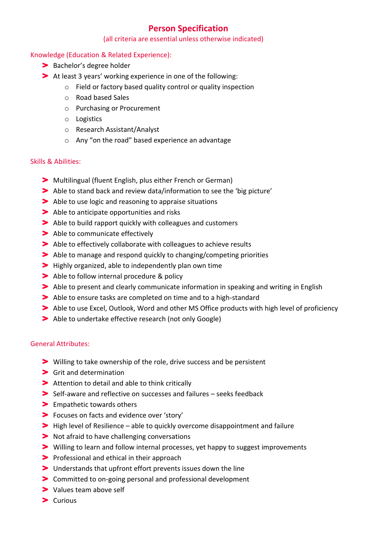## **Person Specification**

#### (all criteria are essential unless otherwise indicated)

#### Knowledge (Education & Related Experience):

- > Bachelor's degree holder
- At least 3 years' working experience in one of the following:
	- o Field or factory based quality control or quality inspection
	- o Road based Sales
	- o Purchasing or Procurement
	- o Logistics
	- o Research Assistant/Analyst
	- o Any "on the road" based experience an advantage

#### Skills & Abilities:

- Multilingual (fluent English, plus either French or German)
- Able to stand back and review data/information to see the 'big picture'
- Able to use logic and reasoning to appraise situations
- Able to anticipate opportunities and risks
- Able to build rapport quickly with colleagues and customers
- > Able to communicate effectively
- Able to effectively collaborate with colleagues to achieve results
- Able to manage and respond quickly to changing/competing priorities
- **>** Highly organized, able to independently plan own time
- > Able to follow internal procedure & policy
- Able to present and clearly communicate information in speaking and writing in English
- Able to ensure tasks are completed on time and to a high-standard
- Able to use Excel, Outlook, Word and other MS Office products with high level of proficiency
- Able to undertake effective research (not only Google)

#### General Attributes:

- Willing to take ownership of the role, drive success and be persistent
- Grit and determination
- Attention to detail and able to think critically
- Self-aware and reflective on successes and failures seeks feedback
- > Empathetic towards others
- Focuses on facts and evidence over 'story'
- **S** High level of Resilience able to quickly overcome disappointment and failure
- Not afraid to have challenging conversations
- Willing to learn and follow internal processes, yet happy to suggest improvements
- **Professional and ethical in their approach**
- Understands that upfront effort prevents issues down the line
- Committed to on-going personal and professional development
- > Values team above self
- $\blacktriangleright$  Curious